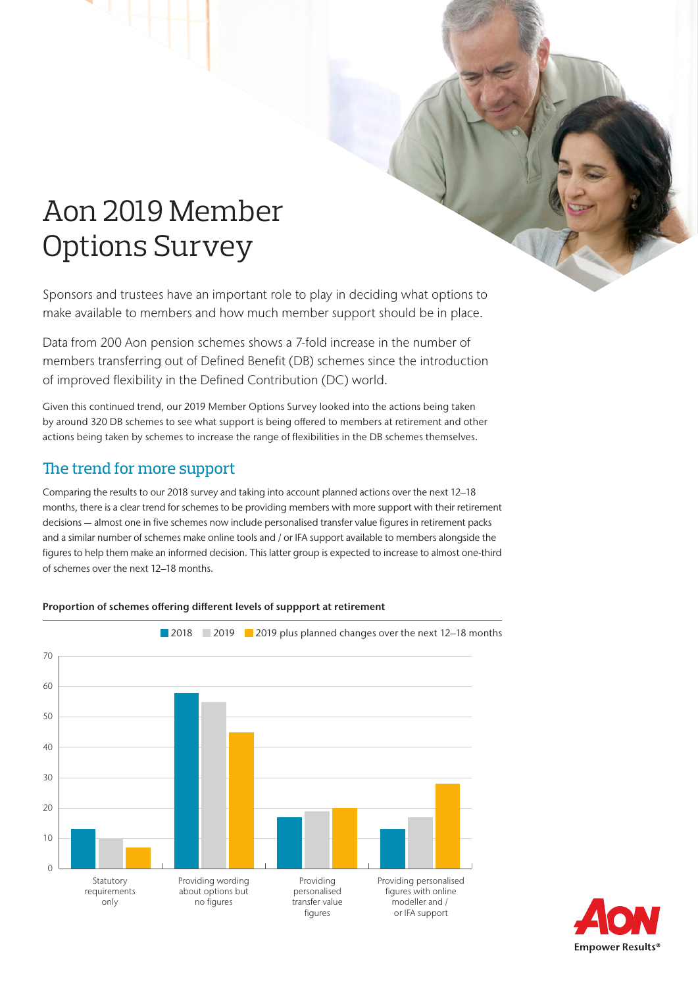# Aon 2019 Member Options Survey

Sponsors and trustees have an important role to play in deciding what options to make available to members and how much member support should be in place.

Data from 200 Aon pension schemes shows a 7-fold increase in the number of members transferring out of Defined Benefit (DB) schemes since the introduction of improved flexibility in the Defined Contribution (DC) world.

Given this continued trend, our 2019 Member Options Survey looked into the actions being taken by around 320 DB schemes to see what support is being offered to members at retirement and other actions being taken by schemes to increase the range of flexibilities in the DB schemes themselves.

## The trend for more support

Comparing the results to our 2018 survey and taking into account planned actions over the next 12–18 months, there is a clear trend for schemes to be providing members with more support with their retirement decisions — almost one in five schemes now include personalised transfer value figures in retirement packs and a similar number of schemes make online tools and / or IFA support available to members alongside the figures to help them make an informed decision. This latter group is expected to increase to almost one-third of schemes over the next 12–18 months.



#### Proportion of schemes offering different levels of suppport at retirement